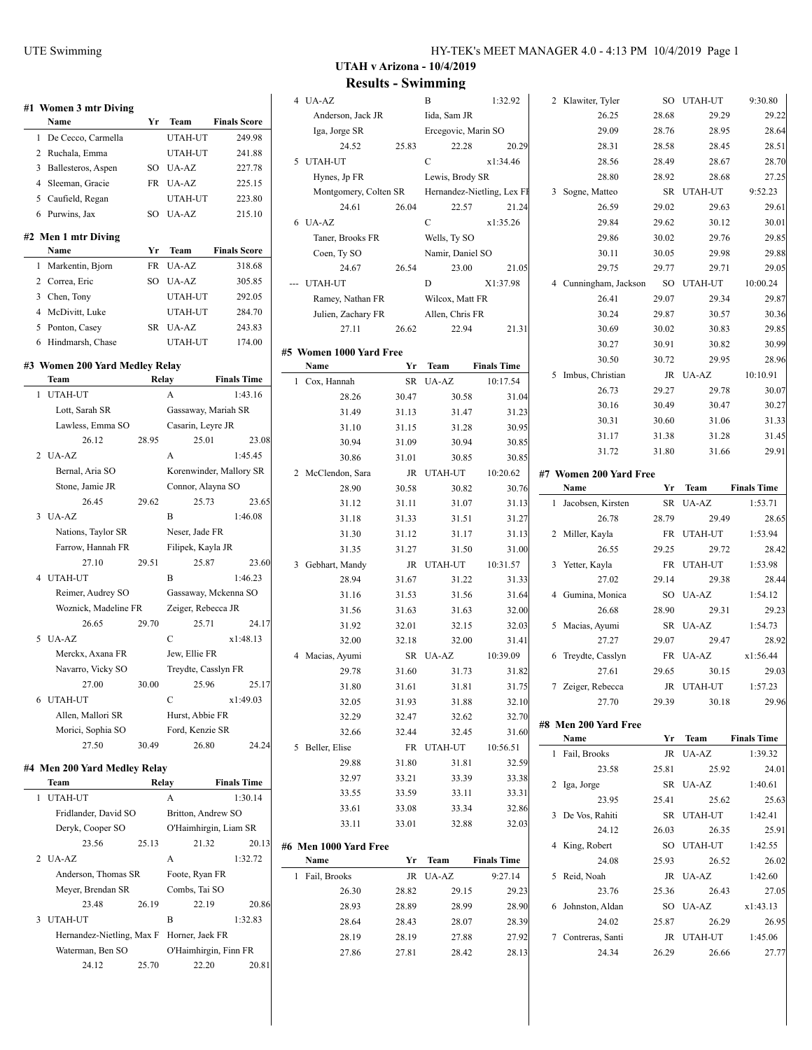|   | #1 Women 3 mtr Diving<br>Name        | Yr    | Team                | <b>Finals Score</b>     |
|---|--------------------------------------|-------|---------------------|-------------------------|
| 1 | De Cecco, Carmella                   |       | UTAH-UT             | 249.98                  |
|   | 2 Ruchala, Emma                      |       | UTAH-UT             | 241.88                  |
|   | 3 Ballesteros, Aspen                 | SO    | UA-AZ               | 227.78                  |
|   | 4 Sleeman, Gracie                    | FR    | UA-AZ               | 225.15                  |
|   |                                      |       | UTAH-UT             |                         |
|   | 5 Caufield, Regan<br>6 Purwins, Jax  | SO    | UA-AZ               | 223.80<br>215.10        |
|   | #2 Men 1 mtr Diving                  |       |                     |                         |
|   | Name                                 | Yr    | Team                | <b>Finals Score</b>     |
|   | 1 Markentin, Bjorn                   | FR    | UA-AZ               | 318.68                  |
|   | 2 Correa, Eric                       | SO    | UA-AZ               | 305.85                  |
|   | 3 Chen, Tony                         |       | UTAH-UT             | 292.05                  |
|   | 4 McDivitt, Luke                     |       | UTAH-UT             | 284.70                  |
| 5 | Ponton, Casey                        | SR    | UA-AZ               | 243.83                  |
| 6 | Hindmarsh, Chase                     |       | UTAH-UT             | 174.00                  |
|   | #3 Women 200 Yard Medley Relay       |       |                     |                         |
|   | Team                                 |       | Relay               | <b>Finals Time</b>      |
| 1 | UTAH-UT                              |       | A                   | 1:43.16                 |
|   | Lott, Sarah SR                       |       | Gassaway, Mariah SR |                         |
|   | Lawless, Emma SO                     |       | Casarin, Leyre JR   |                         |
|   | 26.12                                | 28.95 | 25.01               | 23.08                   |
|   | 2 UA-AZ                              |       | A                   | 1:45.45                 |
|   | Bernal, Aria SO                      |       |                     | Korenwinder, Mallory SR |
|   | Stone, Jamie JR                      |       | Connor, Alayna SO   |                         |
|   | 26.45                                | 29.62 | 25.73               | 23.65                   |
| 3 | UA-AZ                                |       | B                   | 1:46.08                 |
|   | Nations, Taylor SR                   |       | Neser, Jade FR      |                         |
|   | Farrow, Hannah FR                    |       | Filipek, Kayla JR   |                         |
|   | 27.10                                | 29.51 | 25.87               | 23.60                   |
| 4 | UTAH-UT                              |       | B                   | 1:46.23                 |
|   | Reimer, Audrey SO                    |       |                     | Gassaway, Mckenna SO    |
|   | Woznick, Madeline FR                 |       | Zeiger, Rebecca JR  |                         |
|   | 26.65                                | 29.70 | 25.71               | 24.17                   |
| 5 | UA-AZ                                |       | $\mathbf C$         | x1:48.13                |
|   |                                      |       |                     |                         |
|   | Merckx, Axana FR                     |       | Jew, Ellie FR       |                         |
|   | Navarro, Vicky SO                    |       | Treydte, Casslyn FR |                         |
|   | 27.00                                | 30.00 | 25.96               | 25.17                   |
| 6 | UTAH-UT                              |       | С                   | x1:49.03                |
|   | Allen, Mallori SR                    |       | Hurst, Abbie FR     |                         |
|   | Morici, Sophia SO                    |       | Ford, Kenzie SR     |                         |
|   | 27.50                                | 30.49 | 26.80               | 24.24                   |
|   | #4 Men 200 Yard Medley Relay<br>Team |       | Relay               | <b>Finals Time</b>      |
| 1 | UTAH-UT                              |       | А                   | 1:30.14                 |
|   | Fridlander, David SO                 |       | Britton, Andrew SO  |                         |
|   |                                      |       |                     |                         |
|   | Deryk, Cooper SO                     |       |                     | O'Haimhirgin, Liam SR   |
|   | 23.56                                | 25.13 | 21.32               | 20.13                   |
| 2 | UA-AZ                                |       | A                   | 1:32.72                 |
|   | Anderson, Thomas SR                  |       | Foote, Ryan FR      |                         |
|   | Meyer, Brendan SR                    |       | Combs, Tai SO       |                         |
|   | 23.48                                | 26.19 | 22.19               | 20.86                   |
| 3 | UTAH-UT                              |       | B                   | 1:32.83                 |
|   | Hernandez-Nietling, Max F            |       | Horner, Jaek FR     |                         |
|   | Waterman, Ben SO                     |       |                     | O'Haimhirgin, Finn FR   |

24.12 25.70 22.20

## **UTAH v Arizona - 10/4/2019 Results - Swimming**

|        | TTCSUILS                | $\mathbf{v}$ |                     |                            |                           |
|--------|-------------------------|--------------|---------------------|----------------------------|---------------------------|
|        | 4 UA-AZ                 |              | B                   | 1:32.92                    | 2 Klawiter, Tyler         |
|        | Anderson, Jack JR       |              | Iida, Sam JR        |                            | 26.25                     |
| Score  | Iga, Jorge SR           |              | Ercegovic, Marin SO |                            | 29.09                     |
| 49.98  | 24.52                   | 25.83        | 22.28               | 20.29                      | 28.31                     |
| 41.88  | 5 UTAH-UT               |              | $\mathcal{C}$       | x1:34.46                   | 28.56                     |
| 27.78  | Hynes, Jp FR            |              | Lewis, Brody SR     |                            | 28.80                     |
| 25.15  | Montgomery, Colten SR   |              |                     | Hernandez-Nietling, Lex FI | 3 Sogne, Matteo           |
| 23.80  | 24.61                   | 26.04        | 22.57               | 21.24                      | 26.59                     |
| 15.10  | 6 UA-AZ                 |              | C                   | x1:35.26                   | 29.84                     |
|        |                         |              | Wells, Ty SO        |                            | 29.86                     |
| Score  | Taner, Brooks FR        |              | Namir, Daniel SO    |                            | 30.11                     |
| 18.68  | Coen, Ty SO             |              |                     |                            |                           |
| 05.85  | 24.67                   | 26.54        | 23.00               | 21.05                      | 29.75                     |
| 92.05  | UTAH-UT                 |              | D                   | X1:37.98                   | 4 Cunningham, Jacks       |
|        | Ramey, Nathan FR        |              | Wilcox, Matt FR     |                            | 26.41                     |
| 84.70  | Julien, Zachary FR      |              | Allen, Chris FR     |                            | 30.24                     |
| 43.83  | 27.11                   | 26.62        | 22.94               | 21.31                      | 30.69                     |
| 74.00  | #5 Women 1000 Yard Free |              |                     |                            | 30.27                     |
|        | Name                    | Yr           | Team                | <b>Finals Time</b>         | 30.50                     |
| Time   | 1 Cox, Hannah           | <b>SR</b>    | UA-AZ               | 10:17.54                   | 5 Imbus, Christian        |
| 43.16  | 28.26                   | 30.47        | 30.58               | 31.04                      | 26.73                     |
| 3R     | 31.49                   | 31.13        | 31.47               | 31.23                      | 30.16                     |
|        | 31.10                   | 31.15        | 31.28               | 30.95                      | 30.31                     |
| 23.08  | 30.94                   | 31.09        | 30.94               | 30.85                      | 31.17                     |
| 45.45  | 30.86                   | 31.01        | 30.85               | 30.85                      | 31.72                     |
| ory SR |                         |              |                     |                            |                           |
|        | 2 McClendon, Sara       | JR           | UTAH-UT             | 10:20.62                   | #7 Women 200 Yard<br>Name |
| 23.65  | 28.90                   | 30.58        | 30.82               | 30.76                      |                           |
| 46.08  | 31.12                   | 31.11        | 31.07               | 31.13                      | 1 Jacobsen, Kirsten       |
|        | 31.18                   | 31.33        | 31.51               | 31.27                      | 26.78                     |
|        | 31.30                   | 31.12        | 31.17               | 31.13                      | 2 Miller, Kayla           |
|        | 31.35                   | 31.27        | 31.50               | 31.00                      | 26.55                     |
| 23.60  | 3 Gebhart, Mandy        | JR           | UTAH-UT             | 10:31.57                   | 3 Yetter, Kayla           |
| 46.23  | 28.94                   | 31.67        | 31.22               | 31.33                      | 27.02                     |
| a SO   | 31.16                   | 31.53        | 31.56               | 31.64                      | 4 Gumina, Monica          |
|        | 31.56                   | 31.63        | 31.63               | 32.00                      | 26.68                     |
| 24.17  | 31.92                   | 32.01        | 32.15               | 32.03                      | 5 Macias, Ayumi           |
| 48.13  | 32.00                   | 32.18        | 32.00               | 31.41                      | 27.27                     |
|        | 4 Macias, Ayumi         | SR           | UA-AZ               | 10:39.09                   | 6 Treydte, Casslyn        |
| ζ      | 29.78                   | 31.60        | 31.73               | 31.82                      | 27.61                     |
| 25.17  | 31.80                   | 31.61        | 31.81               | 31.75                      | 7 Zeiger, Rebecca         |
| 49.03  | 32.05                   | 31.93        | 31.88               | 32.10                      | 27.70                     |
|        | 32.29                   | 32.47        | 32.62               | 32.70                      | #8 Men 200 Yard Fre       |
|        | 32.66                   | 32.44        | 32.45               | 31.60                      | Name                      |
| 24.24  | 5 Beller, Elise         | FR           | UTAH-UT             | 10:56.51                   | 1 Fail, Brooks            |
|        | 29.88                   | 31.80        | 31.81               | 32.59                      | 23.58                     |
| Time   | 32.97                   | 33.21        | 33.39               | 33.38                      |                           |
| 30.14  | 33.55                   | 33.59        | 33.11               | 33.31                      | 2 Iga, Jorge              |
|        | 33.61                   | 33.08        | 33.34               | 32.86                      | 23.95                     |
| ı SR   | 33.11                   | 33.01        | 32.88               | 32.03                      | 3 De Vos, Rahiti          |
|        |                         |              |                     |                            | 24.12                     |
| 20.13  | #6 Men 1000 Yard Free   |              |                     |                            | 4 King, Robert            |
| 32.72  | Name                    | Yr           | Team                | <b>Finals Time</b>         | 24.08                     |
|        | 1 Fail, Brooks          | JR           | UA-AZ               | 9:27.14                    | 5 Reid, Noah              |
|        | 26.30                   | 28.82        | 29.15               | 29.23                      | 23.76                     |
| 20.86  | 28.93                   | 28.89        | 28.99               | 28.90                      | 6 Johnston, Aldan         |
| 32.83  | 28.64                   | 28.43        | 28.07               | 28.39                      | 24.02                     |
|        | 28.19                   | 28.19        | 27.88               | 27.92                      | 7 Contreras, Santi        |
| FR     | 27.86                   | 27.81        | 28.42               | 28.13                      | 24.34                     |
| 20.81  |                         |              |                     |                            |                           |
|        |                         |              |                     |                            |                           |
|        |                         |              |                     |                            |                           |

| 2 | Klawiter, Tyler        | SO        | UTAH-UT                 | 9:30.80            |
|---|------------------------|-----------|-------------------------|--------------------|
|   | 26.25                  | 28.68     | 29.29                   | 29.22              |
|   | 29.09                  | 28.76     | 28.95                   | 28.64              |
|   | 28.31                  | 28.58     | 28.45                   | 28.51              |
|   | 28.56                  | 28.49     | 28.67                   | 28.70              |
|   | 28.80                  | 28.92     | 28.68                   | 27.25              |
| 3 | Sogne, Matteo          | SR        | UTAH-UT                 | 9:52.23            |
|   | 26.59                  | 29.02     | 29.63                   | 29.61              |
|   | 29.84                  | 29.62     | 30.12                   | 30.01              |
|   | 29.86                  | 30.02     | 29.76                   | 29.85              |
|   | 30.11                  | 30.05     | 29.98                   | 29.88              |
|   | 29.75                  | 29.77     | 29.71                   |                    |
|   |                        |           |                         | 29.05              |
| 4 | Cunningham, Jackson    | SO        | UTAH-UT                 | 10:00.24           |
|   | 26.41                  | 29.07     | 29.34                   | 29.87              |
|   | 30.24                  | 29.87     | 30.57                   | 30.36              |
|   | 30.69                  | 30.02     | 30.83                   | 29.85              |
|   | 30.27                  | 30.91     | 30.82                   | 30.99              |
|   | 30.50                  | 30.72     | 29.95                   | 28.96              |
| 5 | Imbus, Christian       | JR        | UA-AZ                   | 10:10.91           |
|   | 26.73                  | 29.27     | 29.78                   | 30.07              |
|   | 30.16                  | 30.49     | 30.47                   | 30.27              |
|   | 30.31                  | 30.60     | 31.06                   | 31.33              |
|   | 31.17                  | 31.38     | 31.28                   | 31.45              |
|   | 31.72                  | 31.80     | 31.66                   | 29.91              |
|   |                        |           |                         |                    |
|   | #7 Women 200 Yard Free |           |                         |                    |
|   | Name                   | Yr        | Team                    | <b>Finals Time</b> |
|   |                        |           |                         |                    |
| 1 | Jacobsen, Kirsten      | SR        | UA-AZ                   | 1:53.71            |
|   | 26.78                  | 28.79     | 29.49                   | 28.65              |
| 2 | Miller, Kayla          | FR        | UTAH-UT                 | 1:53.94            |
|   | 26.55                  | 29.25     | 29.72                   | 28.42              |
| 3 | Yetter, Kayla          | FR        | UTAH-UT                 | 1:53.98            |
|   | 27.02                  | 29.14     | 29.38                   | 28.44              |
| 4 | Gumina, Monica         | SO        | UA-AZ                   | 1:54.12            |
|   | 26.68                  | 28.90     | 29.31                   | 29.23              |
| 5 | Macias, Ayumi          | SR        | UA-AZ                   | 1:54.73            |
|   | 27.27                  | 29.07     | 29.47                   | 28.92              |
| 6 | Treydte, Casslyn       | FR        | UA-AZ                   | x1:56.44           |
|   | 27.61                  | 29.65     | 30.15                   | 29.03              |
| 7 | Zeiger, Rebecca        |           | JR UTAH-UT              | 1:57.23            |
|   | 27.70                  | 29.39     | 30.18                   | 29.96              |
|   |                        |           |                         |                    |
|   | #8 Men 200 Yard Free   |           |                         |                    |
|   | Name                   | Yr        | <b>Team</b> Finals Time |                    |
| 1 | Fail, Brooks           | JR        | UA-AZ                   | 1:39.32            |
|   | 23.58                  | 25.81     | 25.92                   | 24.01              |
| 2 | Iga, Jorge             | <b>SR</b> | UA-AZ                   | 1:40.61            |
|   | 23.95                  | 25.41     | 25.62                   | 25.63              |
| 3 | De Vos, Rahiti         | SR        | UTAH-UT                 | 1:42.41            |
|   | 24.12                  | 26.03     | 26.35                   | 25.91              |
| 4 | King, Robert           | SO        | UTAH-UT                 | 1:42.55            |
|   | 24.08                  | 25.93     | 26.52                   | 26.02              |
| 5 | Reid, Noah             |           | JR UA-AZ                | 1:42.60            |
|   | 23.76                  | 25.36     | 26.43                   | 27.05              |

25.87 26.29 26.95 JR UTAH-UT 1:45.06 24.34 26.29 26.66 27.77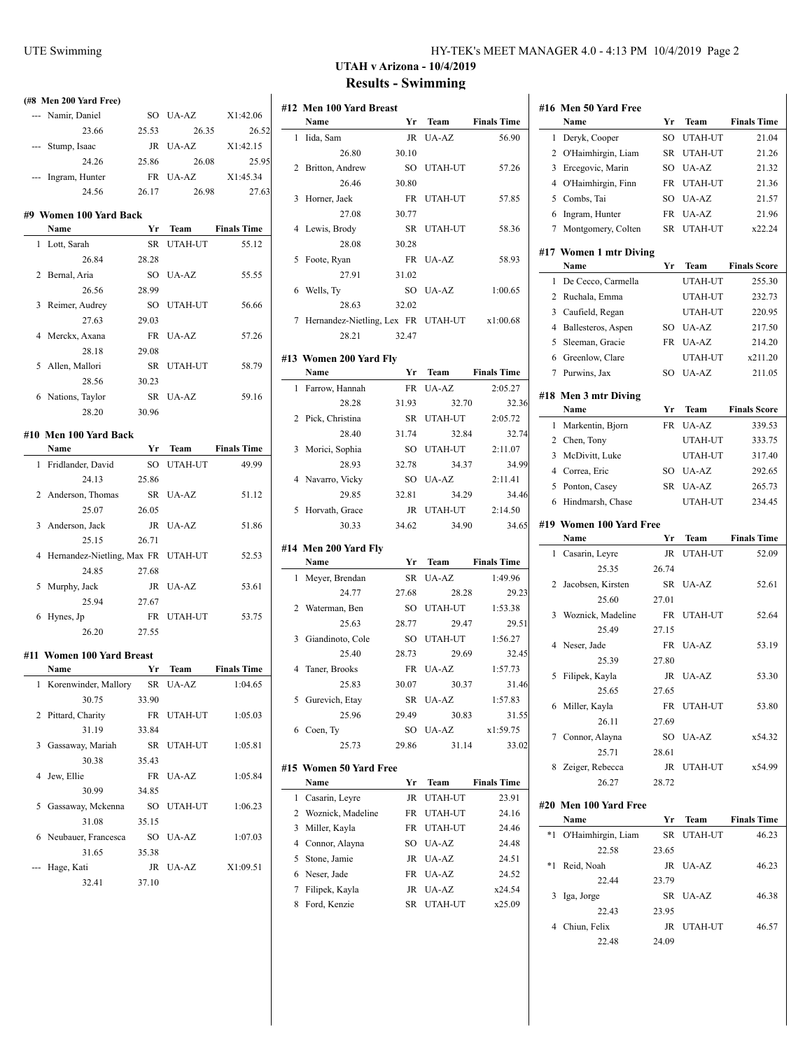| HY-TEK's MEET MANAGER 4.0 - 4:13 PM 10/4/2019 Page 2 |  |  |
|------------------------------------------------------|--|--|
|------------------------------------------------------|--|--|

# **UTAH v Arizona - 10/4/2019 Results - Swimming**

**Name Yr Team Finals Time**

|     | (#8 Men 200 Yard Free)          |             |          |                    |   |                                 |                  |
|-----|---------------------------------|-------------|----------|--------------------|---|---------------------------------|------------------|
|     | --- Namir, Daniel               | SO.         | UA-AZ    | X1:42.06           |   | #12 Men 100 Yard Breast<br>Name |                  |
|     | 23.66                           | 25.53       | 26.35    | 26.52              |   | 1 Iida, Sam                     |                  |
| --- | Stump, Isaac                    | JR          | UA-AZ    | X1:42.15           |   | 26.80                           | $\overline{3}$   |
|     | 24.26                           | 25.86       | 26.08    | 25.95              |   | 2 Britton, Andrew               |                  |
| --- | Ingram, Hunter                  | FR          | UA-AZ    | X1:45.34           |   | 26.46                           | $\mathfrak{z}_0$ |
|     | 24.56                           | 26.17       | 26.98    | 27.63              |   |                                 |                  |
|     |                                 |             |          |                    |   | 3 Horner, Jaek<br>27.08         |                  |
|     | #9  Women 100 Yard Back<br>Name | Yr          | Team     | <b>Finals Time</b> |   |                                 | $\mathfrak{z}_0$ |
|     | 1 Lott, Sarah                   | <b>SR</b>   | UTAH-UT  | 55.12              |   | 4 Lewis, Brody<br>28.08         | $\overline{3}$   |
|     | 26.84                           |             |          |                    |   |                                 |                  |
|     | 2 Bernal, Aria                  | 28.28<br>SO | UA-AZ    | 55.55              |   | 5 Foote, Ryan<br>27.91          | 3                |
|     | 26.56                           |             |          |                    |   |                                 |                  |
|     |                                 | 28.99       |          |                    |   | 6 Wells, Ty                     |                  |
|     | 3 Reimer, Audrey                | SO          | UTAH-UT  | 56.66              |   | 28.63                           | 3 <sup>′</sup>   |
|     | 27.63                           | 29.03       |          |                    |   | 7 Hernandez-Nietling, Lex       |                  |
|     | 4 Merckx, Axana                 | FR          | UA-AZ    | 57.26              |   | 28.21                           | 3 <sup>′</sup>   |
|     | 28.18                           | 29.08       |          |                    |   | #13 Women 200 Yard Fly          |                  |
|     | 5 Allen, Mallori                | SR          | UTAH-UT  | 58.79              |   | Name                            |                  |
|     | 28.56                           | 30.23       |          |                    |   | 1 Farrow, Hannah                |                  |
|     | 6 Nations, Taylor               | SR          | UA-AZ    | 59.16              |   | 28.28                           | 3                |
|     | 28.20                           | 30.96       |          |                    |   | 2 Pick, Christina               |                  |
|     | #10  Men 100 Yard Back          |             |          |                    |   | 28.40                           | 3                |
|     | Name                            | Yr          | Team     | <b>Finals Time</b> |   | 3 Morici, Sophia                |                  |
|     | 1 Fridlander, David             | <b>SO</b>   | UTAH-UT  | 49.99              |   | 28.93                           | 3 <sup>′</sup>   |
|     | 24.13                           | 25.86       |          |                    |   | 4 Navarro, Vicky                |                  |
|     | 2 Anderson, Thomas              |             | SR UA-AZ | 51.12              |   | 29.85                           | 3 <sup>′</sup>   |
|     | 25.07                           | 26.05       |          |                    |   | 5 Horvath, Grace                |                  |
|     | 3 Anderson, Jack                | JR          | UA-AZ    | 51.86              |   | 30.33                           | 3.               |
|     | 25.15                           | 26.71       |          |                    |   |                                 |                  |
|     | 4 Hernandez-Nietling, Max FR    |             | UTAH-UT  | 52.53              |   | #14 Men 200 Yard Fly            |                  |
|     | 24.85                           | 27.68       |          |                    |   | Name                            |                  |
|     | 5 Murphy, Jack                  | JR          | UA-AZ    | 53.61              |   | 1 Meyer, Brendan                |                  |
|     | 25.94                           | 27.67       |          |                    |   | 24.77                           | $2^{\prime}$     |
|     | 6 Hynes, Jp                     | FR          | UTAH-UT  | 53.75              |   | 2 Waterman, Ben                 |                  |
|     | 26.20                           | 27.55       |          |                    |   | 25.63                           | $\overline{2}$   |
|     |                                 |             |          |                    |   | 3 Giandinoto, Cole              |                  |
|     | #11 Women 100 Yard Breast       |             |          |                    |   | 25.40                           | $\overline{2}$   |
|     | Name                            | Yr          | Team     | <b>Finals Time</b> |   | 4 Taner, Brooks                 |                  |
|     | 1 Korenwinder, Mallory SR UA-AZ |             |          | 1:04.65            |   | 25.83                           | $\mathfrak{z}_0$ |
|     | 30.75                           | 33.90       |          |                    |   | 5 Gurevich, Etay                |                  |
|     | 2 Pittard, Charity              | FR          | UTAH-UT  | 1:05.03            |   | 25.96                           | 2 <sup>1</sup>   |
|     | 31.19                           | 33.84       |          |                    |   | 6 Coen, Ty                      |                  |
|     | 3 Gassaway, Mariah              | SR          | UTAH-UT  | 1:05.81            |   | 25.73                           | 2 <sup>1</sup>   |
|     | 30.38                           | 35.43       |          |                    |   |                                 |                  |
| 4   | Jew, Ellie                      | FR          | UA-AZ    | 1:05.84            |   | #15 Women 50 Yard Free<br>Name  |                  |
|     | 30.99                           | 34.85       |          |                    |   |                                 |                  |
| 5.  | Gassaway, Mckenna               | SO          | UTAH-UT  | 1:06.23            |   | 1 Casarin, Leyre                |                  |
|     | 31.08                           | 35.15       |          |                    |   | 2 Woznick, Madeline             |                  |
|     | 6 Neubauer, Francesca           | SO          | UA-AZ    | 1:07.03            |   | 3 Miller, Kayla                 |                  |
|     | 31.65                           | 35.38       |          |                    |   | 4 Connor, Alayna                |                  |
| --- | Hage, Kati                      | JR          | UA-AZ    | X1:09.51           |   | 5 Stone, Jamie                  |                  |
|     | 32.41                           | 37.10       |          |                    |   | 6 Neser, Jade                   |                  |
|     |                                 |             |          |                    | 7 | Filipek, Kayla                  |                  |

| 1                   | Iida, Sam                       | JR        | UA-AZ            | 56.90              |
|---------------------|---------------------------------|-----------|------------------|--------------------|
|                     | 26.80                           | 30.10     |                  |                    |
| 2                   | Britton, Andrew                 | SO        | UTAH-UT          | 57.26              |
|                     | 26.46                           | 30.80     |                  |                    |
| 3                   | Horner, Jaek                    | FR        | UTAH-UT          | 57.85              |
|                     | 27.08                           | 30.77     |                  |                    |
| 4                   | Lewis, Brody                    | <b>SR</b> | UTAH-UT          | 58.36              |
|                     | 28.08                           | 30.28     |                  |                    |
| 5                   | Foote, Ryan                     | FR        | UA-AZ            | 58.93              |
|                     | 27.91                           | 31.02     |                  |                    |
| 6                   | Wells, Ty                       | SO.       | UA-AZ            | 1:00.65            |
|                     | 28.63                           | 32.02     |                  |                    |
| 7                   | Hernandez-Nietling, Lex FR      |           | UTAH-UT          | x1:00.68           |
|                     | 28.21                           | 32.47     |                  |                    |
|                     | #13 Women 200 Yard Fly          |           |                  |                    |
|                     | Name                            | Yr        | <b>Team</b>      | <b>Finals Time</b> |
| 1                   | Farrow, Hannah                  | FR        | UA-AZ            | 2:05.27            |
|                     | 28.28                           | 31.93     | 32.70            | 32.36              |
| 2                   | Pick, Christina                 | SR        | UTAH-UT          | 2:05.72            |
|                     | 28.40                           | 31.74     | 32.84            | 32.74              |
| 3                   | Morici, Sophia                  | SO        | UTAH-UT          | 2:11.07            |
|                     | 28.93                           | 32.78     | 34.37            | 34.99              |
| 4                   | Navarro, Vicky                  | SO        | UA-AZ            | 2:11.41            |
|                     | 29.85                           | 32.81     | 34.29            | 34.46              |
| 5                   | Horvath, Grace                  | JR        | UTAH-UT          | 2:14.50            |
|                     | 30.33                           | 34.62     | 34.90            | 34.65              |
|                     |                                 |           |                  |                    |
|                     | #14 Men 200 Yard Fly<br>Name    | Yr        | Team             | <b>Finals Time</b> |
| 1                   | Meyer, Brendan                  | SR        | UA-AZ            | 1:49.96            |
|                     | 24.77                           | 27.68     | 28.28            | 29.23              |
| 2                   | Waterman, Ben                   | SO        | UTAH-UT          | 1:53.38            |
|                     | 25.63                           | 28.77     | 29.47            | 29.51              |
| 3                   | Giandinoto, Cole                | SO        | UTAH-UT          | 1:56.27            |
|                     | 25.40                           | 28.73     | 29.69            | 32.45              |
| 4                   | Taner, Brooks                   | FR        | UA-AZ            | 1:57.73            |
|                     | 25.83                           | 30.07     | 30.37            | 31.46              |
| 5                   | Gurevich, Etay                  | SR        | UA-AZ            | 1:57.83            |
|                     | 25.96                           | 29.49     | 30.83            | 31.55              |
|                     | 6 Coen, Ty                      |           | SO UA-AZ         | x1:59.75           |
|                     | 25.73                           | 29.86     | 31.14            | 33.02              |
|                     |                                 |           |                  |                    |
|                     | #15 Women 50 Yard Free          | Yr        | Team             | <b>Finals Time</b> |
|                     |                                 |           |                  |                    |
|                     | Name                            |           |                  |                    |
| 1                   | Casarin, Leyre                  | JR        | UTAH-UT          | 23.91              |
| 2                   | Woznick, Madeline               | FR        | UTAH-UT          | 24.16              |
| 3<br>$\overline{4}$ | Miller, Kayla<br>Connor, Alayna | FR<br>SO  | UTAH-UT<br>UA-AZ | 24.46              |
| 5                   | Stone, Jamie                    | JR        | UA-AZ            | 24.48<br>24.51     |
| 6                   | Neser, Jade                     | FR        | UA-AZ            | 24.52              |
| 7                   | Filipek, Kayla                  | JR        | UA-AZ            | x24.54             |

|                | #16 Men 50 Yard Free    |             |         |                     |
|----------------|-------------------------|-------------|---------|---------------------|
|                | Name                    | Yr          | Team    | <b>Finals Time</b>  |
| 1              | Deryk, Cooper           | SO          | UTAH-UT | 21.04               |
| 2              | O'Haimhirgin, Liam      | SR          | UTAH-UT | 21.26               |
| 3              | Ercegovic, Marin        | SO          | UA-AZ   | 21.32               |
| $\overline{4}$ | O'Haimhirgin, Finn      | FR          | UTAH-UT | 21.36               |
| 5              | Combs. Tai              | SO.         | UA-AZ   | 21.57               |
| 6              | Ingram, Hunter          | FR          | UA-AZ   | 21.96               |
| 7              | Montgomery, Colten      | SR          | UTAH-UT | x22.24              |
|                |                         |             |         |                     |
|                | #17 Women 1 mtr Diving  |             |         |                     |
|                | Name                    | Yr          | Team    | <b>Finals Score</b> |
| 1              | De Cecco, Carmella      |             | UTAH-UT | 255.30              |
| 2              | Ruchala, Emma           |             | UTAH-UT | 232.73              |
| 3              | Caufield, Regan         |             | UTAH-UT | 220.95              |
| 4              | Ballesteros, Aspen      | SO          | UA-AZ   | 217.50              |
| 5              | Sleeman, Gracie         | FR          | UA-AZ   | 214.20              |
|                | 6 Greenlow, Clare       |             | UTAH-UT | x211.20             |
| 7              | Purwins, Jax            | SO          | $UA-AZ$ | 211.05              |
|                | #18 Men 3 mtr Diving    |             |         |                     |
|                | Name                    | Yr          | Team    | <b>Finals Score</b> |
| 1              | Markentin, Bjorn        | FR          | UA-AZ   | 339.53              |
|                | 2 Chen, Tony            |             | UTAH-UT | 333.75              |
| 3              | McDivitt, Luke          |             | UTAH-UT | 317.40              |
| $\overline{4}$ | Correa, Eric            | SO.         | UA-AZ   | 292.65              |
| 5              | Ponton, Casey           | SR          | UA-AZ   | 265.73              |
|                | 6 Hindmarsh, Chase      |             | UTAH-UT | 234.45              |
|                |                         |             |         |                     |
|                | #19 Women 100 Yard Free |             |         |                     |
|                |                         |             |         |                     |
|                | Name                    | Yr          | Team    | <b>Finals Time</b>  |
| 1              | Casarin, Leyre          | JR          | UTAH-UT | 52.09               |
|                | 25.35                   | 26.74       |         |                     |
| 2              | Jacobsen, Kirsten       | SR          | UA-AZ   | 52.61               |
|                | 25.60                   | 27.01       |         |                     |
| 3              | Woznick, Madeline       | FR          | UTAH-UT | 52.64               |
|                | 25.49                   | 27.15       |         |                     |
| 4              | Neser, Jade             | FR          | UA-AZ   | 53.19               |
|                | 25.39                   | 27.80       |         |                     |
| 5              | Filipek, Kayla          | JR          | UA-AZ   | 53.30               |
|                | 25.65                   | 27.65       |         |                     |
|                | 6 Miller, Kayla         | FR          | UTAH-UT | 53.80               |
|                | 26.11                   | 27.69       |         |                     |
|                | 7 Connor, Alayna        | SO          | UA-AZ   | x54.32              |
|                | 25.71                   | 28.61       |         |                     |
|                | 8 Zeiger, Rebecca       | JR          | UTAH-UT | x54.99              |
|                | 26.27                   | 28.72       |         |                     |
|                |                         |             |         |                     |
|                | #20 Men 100 Yard Free   |             |         |                     |
|                | Name                    | Yr          | Team    | <b>Finals Time</b>  |
| $*1$           | O'Haimhirgin, Liam      | SR          | UTAH-UT | 46.23               |
|                | 22.58                   | 23.65       |         |                     |
| $*1$           | Reid, Noah              | JR          | UA-AZ   | 46.23               |
|                | 22.44                   | 23.79       |         |                     |
|                | 3 Iga, Jorge            | SR          | UA-AZ   | 46.38               |
|                | 22.43                   | 23.95       |         |                     |
|                | 4 Chiun, Felix<br>22.48 | JR<br>24.09 | UTAH-UT | 46.57               |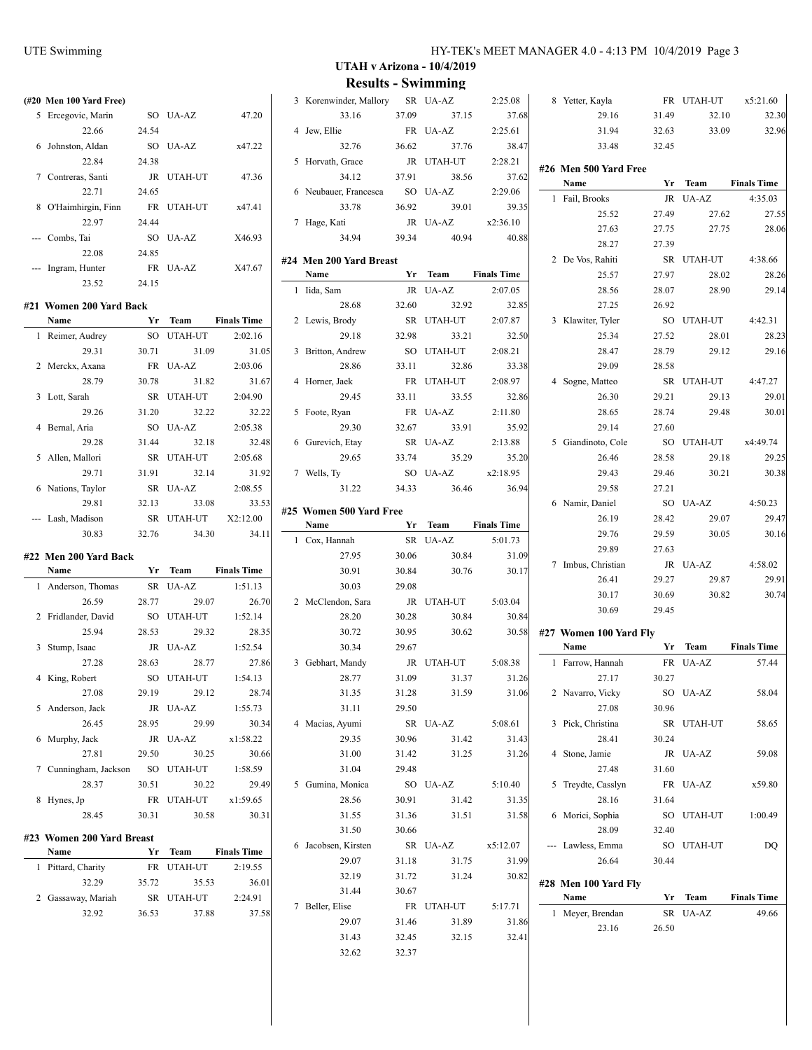| UTE Swimming |                                   | HY-TEK's MEET MANAGER 4.0 - 4:13 PM 10/4/2019 Page 3 |  |
|--------------|-----------------------------------|------------------------------------------------------|--|
|              | <b>UTAH v Arizona - 10/4/2019</b> |                                                      |  |

**Results - Swimming**

| (#20 Men 100 Yard Free)   |       |            |                    | 3 Korenwinder, Mallory  |       | SR UA-AZ   | 2:25.08            | 8 Yetter, Kayla        |       | FR UTAH-UT | x5:21.60           |
|---------------------------|-------|------------|--------------------|-------------------------|-------|------------|--------------------|------------------------|-------|------------|--------------------|
| 5 Ercegovic, Marin        |       | SO UA-AZ   | 47.20              | 33.16                   | 37.09 | 37.15      | 37.68              | 29.16                  | 31.49 | 32.10      | 32.30              |
| 22.66                     | 24.54 |            |                    | 4 Jew, Ellie            |       | FR UA-AZ   | 2:25.61            | 31.94                  | 32.63 | 33.09      | 32.96              |
| 6 Johnston, Aldan         |       | SO UA-AZ   | x47.22             | 32.76                   | 36.62 | 37.76      | 38.47              | 33.48                  | 32.45 |            |                    |
| 22.84                     | 24.38 |            |                    | 5 Horvath, Grace        |       | JR UTAH-UT | 2:28.21            |                        |       |            |                    |
| 7 Contreras, Santi        |       | JR UTAH-UT | 47.36              | 34.12                   | 37.91 | 38.56      | 37.62              | #26 Men 500 Yard Free  |       |            |                    |
| 22.71                     | 24.65 |            |                    | 6 Neubauer, Francesca   |       | SO UA-AZ   | 2:29.06            | Name                   |       | Yr Team    | <b>Finals Time</b> |
| 8 O'Haimhirgin, Finn      |       | FR UTAH-UT | x47.41             | 33.78                   | 36.92 | 39.01      | 39.35              | 1 Fail, Brooks         |       | JR UA-AZ   | 4:35.03            |
| 22.97                     | 24.44 |            |                    | 7 Hage, Kati            |       | JR UA-AZ   | x2:36.10           | 25.52                  | 27.49 | 27.62      | 27.55              |
| --- Combs, Tai            |       | SO UA-AZ   | X46.93             | 34.94                   | 39.34 | 40.94      | 40.88              | 27.63                  | 27.75 | 27.75      | 28.06              |
| 22.08                     | 24.85 |            |                    |                         |       |            |                    | 28.27                  | 27.39 |            |                    |
| --- Ingram, Hunter        |       | FR UA-AZ   | X47.67             | #24 Men 200 Yard Breast |       |            |                    | 2 De Vos, Rahiti       |       | SR UTAH-UT | 4:38.66            |
| 23.52                     | 24.15 |            |                    | Name                    |       | Yr Team    | <b>Finals Time</b> | 25.57                  | 27.97 | 28.02      | 28.26              |
|                           |       |            |                    | 1 Iida, Sam             |       | JR UA-AZ   | 2:07.05            | 28.56                  | 28.07 | 28.90      | 29.14              |
| #21  Women 200 Yard Back  |       |            |                    | 28.68                   | 32.60 | 32.92      | 32.85              | 27.25                  | 26.92 |            |                    |
| Name                      |       | Yr Team    | <b>Finals Time</b> | 2 Lewis, Brody          |       | SR UTAH-UT | 2:07.87            | 3 Klawiter, Tyler      |       | SO UTAH-UT | 4:42.31            |
| 1 Reimer, Audrey          |       | SO UTAH-UT | 2:02.16            | 29.18                   | 32.98 | 33.21      | 32.50              | 25.34                  | 27.52 | 28.01      | 28.23              |
| 29.31                     | 30.71 | 31.09      | 31.05              | 3 Britton, Andrew       |       | SO UTAH-UT | 2:08.21            | 28.47                  | 28.79 | 29.12      | 29.16              |
| 2 Merckx, Axana           |       | FR UA-AZ   | 2:03.06            | 28.86                   | 33.11 | 32.86      | 33.38              | 29.09                  | 28.58 |            |                    |
| 28.79                     | 30.78 | 31.82      | 31.67              | 4 Horner, Jaek          |       | FR UTAH-UT | 2:08.97            | 4 Sogne, Matteo        |       | SR UTAH-UT | 4:47.27            |
| 3 Lott, Sarah             |       | SR UTAH-UT | 2:04.90            | 29.45                   | 33.11 | 33.55      | 32.86              | 26.30                  | 29.21 | 29.13      | 29.01              |
| 29.26                     | 31.20 | 32.22      | 32.22              | 5 Foote, Ryan           |       | FR UA-AZ   | 2:11.80            | 28.65                  | 28.74 | 29.48      | 30.01              |
| 4 Bernal, Aria            |       | SO UA-AZ   | 2:05.38            | 29.30                   | 32.67 | 33.91      | 35.92              | 29.14                  | 27.60 |            |                    |
| 29.28                     | 31.44 | 32.18      | 32.48              | 6 Gurevich, Etay        |       | SR UA-AZ   | 2:13.88            | 5 Giandinoto, Cole     |       | SO UTAH-UT | x4:49.74           |
| 5 Allen, Mallori          |       | SR UTAH-UT | 2:05.68            | 29.65                   | 33.74 | 35.29      | 35.20              | 26.46                  | 28.58 | 29.18      | 29.25              |
| 29.71                     | 31.91 | 32.14      | 31.92              | 7 Wells, Ty             |       | SO UA-AZ   | x2:18.95           | 29.43                  | 29.46 | 30.21      | 30.38              |
| 6 Nations, Taylor         |       | SR UA-AZ   | 2:08.55            | 31.22                   | 34.33 | 36.46      | 36.94              | 29.58                  | 27.21 |            |                    |
| 29.81                     | 32.13 | 33.08      | 33.53              |                         |       |            |                    | 6 Namir, Daniel        |       | SO UA-AZ   | 4:50.23            |
| --- Lash, Madison         |       | SR UTAH-UT | X2:12.00           | #25 Women 500 Yard Free |       |            |                    | 26.19                  | 28.42 | 29.07      | 29.47              |
| 30.83                     | 32.76 | 34.30      | 34.11              | Name                    |       | Yr Team    | <b>Finals Time</b> | 29.76                  | 29.59 | 30.05      | 30.16              |
|                           |       |            |                    | 1 Cox, Hannah           |       | SR UA-AZ   | 5:01.73            |                        | 27.63 |            |                    |
| #22 Men 200 Yard Back     |       |            |                    | 27.95                   | 30.06 | 30.84      | 31.09              | 29.89                  |       |            |                    |
| Name                      |       | Yr Team    | <b>Finals Time</b> | 30.91                   | 30.84 | 30.76      | 30.17              | 7 Imbus, Christian     |       | JR UA-AZ   | 4:58.02            |
| 1 Anderson, Thomas        |       | SR UA-AZ   | 1:51.13            | 30.03                   | 29.08 |            |                    | 26.41                  | 29.27 | 29.87      | 29.91              |
| 26.59                     | 28.77 | 29.07      | 26.70              | 2 McClendon, Sara       |       | JR UTAH-UT | 5:03.04            | 30.17                  | 30.69 | 30.82      | 30.74              |
| 2 Fridlander, David       |       | SO UTAH-UT | 1:52.14            | 28.20                   | 30.28 | 30.84      | 30.84              | 30.69                  | 29.45 |            |                    |
| 25.94                     | 28.53 | 29.32      | 28.35              | 30.72                   | 30.95 | 30.62      | 30.58              | #27 Women 100 Yard Fly |       |            |                    |
| 3 Stump, Isaac            |       | JR UA-AZ   | 1:52.54            | 30.34                   | 29.67 |            |                    | Name                   |       | Yr Team    | <b>Finals Time</b> |
| 27.28                     | 28.63 | 28.77      | 27.86              | 3 Gebhart, Mandy        |       | JR UTAH-UT | 5:08.38            | 1 Farrow, Hannah       |       | FR UA-AZ   | 57.44              |
| 4 King, Robert            |       | SO UTAH-UT | 1:54.13            | 28.77                   | 31.09 | 31.37      | 31.26              | 27.17                  | 30.27 |            |                    |
| 27.08                     | 29.19 | 29.12      | 28.74              | 31.35                   | 31.28 | 31.59      | 31.06              | 2 Navarro, Vicky       |       | SO UA-AZ   | 58.04              |
| 5 Anderson, Jack          |       | JR UA-AZ   | 1:55.73            | 31.11                   | 29.50 |            |                    | 27.08                  | 30.96 |            |                    |
| 26.45                     | 28.95 | 29.99      | 30.34              | 4 Macias, Ayumi         |       | SR UA-AZ   | 5:08.61            | 3 Pick, Christina      |       | SR UTAH-UT | 58.65              |
| 6 Murphy, Jack            |       | JR UA-AZ   | x1:58.22           | 29.35                   | 30.96 | 31.42      | 31.43              | 28.41                  | 30.24 |            |                    |
| 27.81                     | 29.50 | 30.25      | 30.66              | 31.00                   | 31.42 | 31.25      | 31.26              | 4 Stone, Jamie         |       | JR UA-AZ   | 59.08              |
| 7 Cunningham, Jackson     |       | SO UTAH-UT | 1:58.59            | 31.04                   | 29.48 |            |                    | 27.48                  | 31.60 |            |                    |
| 28.37                     | 30.51 | 30.22      | 29.49              | 5 Gumina, Monica        |       | SO UA-AZ   |                    | 5 Treydte, Casslyn     |       |            | x59.80             |
|                           |       |            |                    |                         |       |            | 5:10.40            |                        |       | FR UA-AZ   |                    |
| 8 Hynes, Jp               |       | FR UTAH-UT | x1:59.65           | 28.56                   | 30.91 | 31.42      | 31.35              | 28.16                  | 31.64 |            |                    |
| 28.45                     | 30.31 | 30.58      | 30.31              | 31.55                   | 31.36 | 31.51      | 31.58              | 6 Morici, Sophia       |       | SO UTAH-UT | 1:00.49            |
| #23 Women 200 Yard Breast |       |            |                    | 31.50                   | 30.66 |            |                    | 28.09                  | 32.40 |            |                    |
| Name                      |       | Yr Team    | <b>Finals Time</b> | 6 Jacobsen, Kirsten     |       | SR UA-AZ   | x5:12.07           | --- Lawless, Emma      |       | SO UTAH-UT | DQ                 |
| 1 Pittard, Charity        |       | FR UTAH-UT | 2:19.55            | 29.07                   | 31.18 | 31.75      | 31.99              | 26.64                  | 30.44 |            |                    |
| 32.29                     | 35.72 | 35.53      | 36.01              | 32.19                   | 31.72 | 31.24      | 30.82              | #28 Men 100 Yard Fly   |       |            |                    |
| 2 Gassaway, Mariah        |       | SR UTAH-UT | 2:24.91            | 31.44                   | 30.67 |            |                    | Name                   |       | Yr Team    | <b>Finals Time</b> |
| 32.92                     | 36.53 | 37.88      | 37.58              | 7 Beller, Elise         |       | FR UTAH-UT | 5:17.71            | 1 Meyer, Brendan       |       | SR UA-AZ   | 49.66              |
|                           |       |            |                    | 29.07                   | 31.46 | 31.89      | 31.86              | 23.16                  | 26.50 |            |                    |
|                           |       |            |                    | 31.43                   | 32.45 | 32.15      | 32.41              |                        |       |            |                    |
|                           |       |            |                    | 32.62                   | 32.37 |            |                    |                        |       |            |                    |
|                           |       |            |                    |                         |       |            |                    |                        |       |            |                    |